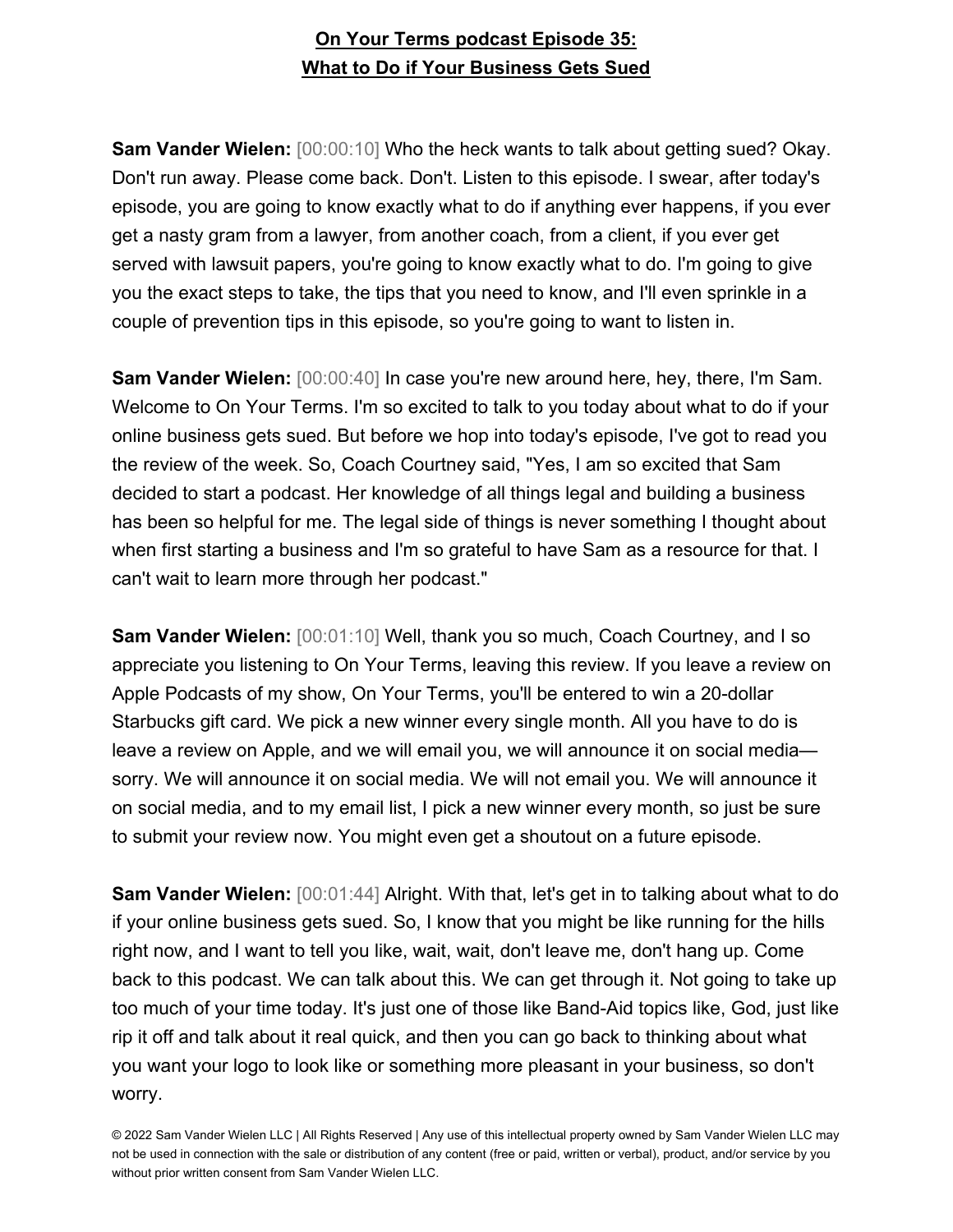**Sam Vander Wielen:** [00:00:10] Who the heck wants to talk about getting sued? Okay. Don't run away. Please come back. Don't. Listen to this episode. I swear, after today's episode, you are going to know exactly what to do if anything ever happens, if you ever get a nasty gram from a lawyer, from another coach, from a client, if you ever get served with lawsuit papers, you're going to know exactly what to do. I'm going to give you the exact steps to take, the tips that you need to know, and I'll even sprinkle in a couple of prevention tips in this episode, so you're going to want to listen in.

**Sam Vander Wielen:** [00:00:40] In case you're new around here, hey, there, I'm Sam. Welcome to On Your Terms. I'm so excited to talk to you today about what to do if your online business gets sued. But before we hop into today's episode, I've got to read you the review of the week. So, Coach Courtney said, "Yes, I am so excited that Sam decided to start a podcast. Her knowledge of all things legal and building a business has been so helpful for me. The legal side of things is never something I thought about when first starting a business and I'm so grateful to have Sam as a resource for that. I can't wait to learn more through her podcast."

**Sam Vander Wielen:** [00:01:10] Well, thank you so much, Coach Courtney, and I so appreciate you listening to On Your Terms, leaving this review. If you leave a review on Apple Podcasts of my show, On Your Terms, you'll be entered to win a 20-dollar Starbucks gift card. We pick a new winner every single month. All you have to do is leave a review on Apple, and we will email you, we will announce it on social media sorry. We will announce it on social media. We will not email you. We will announce it on social media, and to my email list, I pick a new winner every month, so just be sure to submit your review now. You might even get a shoutout on a future episode.

**Sam Vander Wielen:** [00:01:44] Alright. With that, let's get in to talking about what to do if your online business gets sued. So, I know that you might be like running for the hills right now, and I want to tell you like, wait, wait, don't leave me, don't hang up. Come back to this podcast. We can talk about this. We can get through it. Not going to take up too much of your time today. It's just one of those like Band-Aid topics like, God, just like rip it off and talk about it real quick, and then you can go back to thinking about what you want your logo to look like or something more pleasant in your business, so don't worry.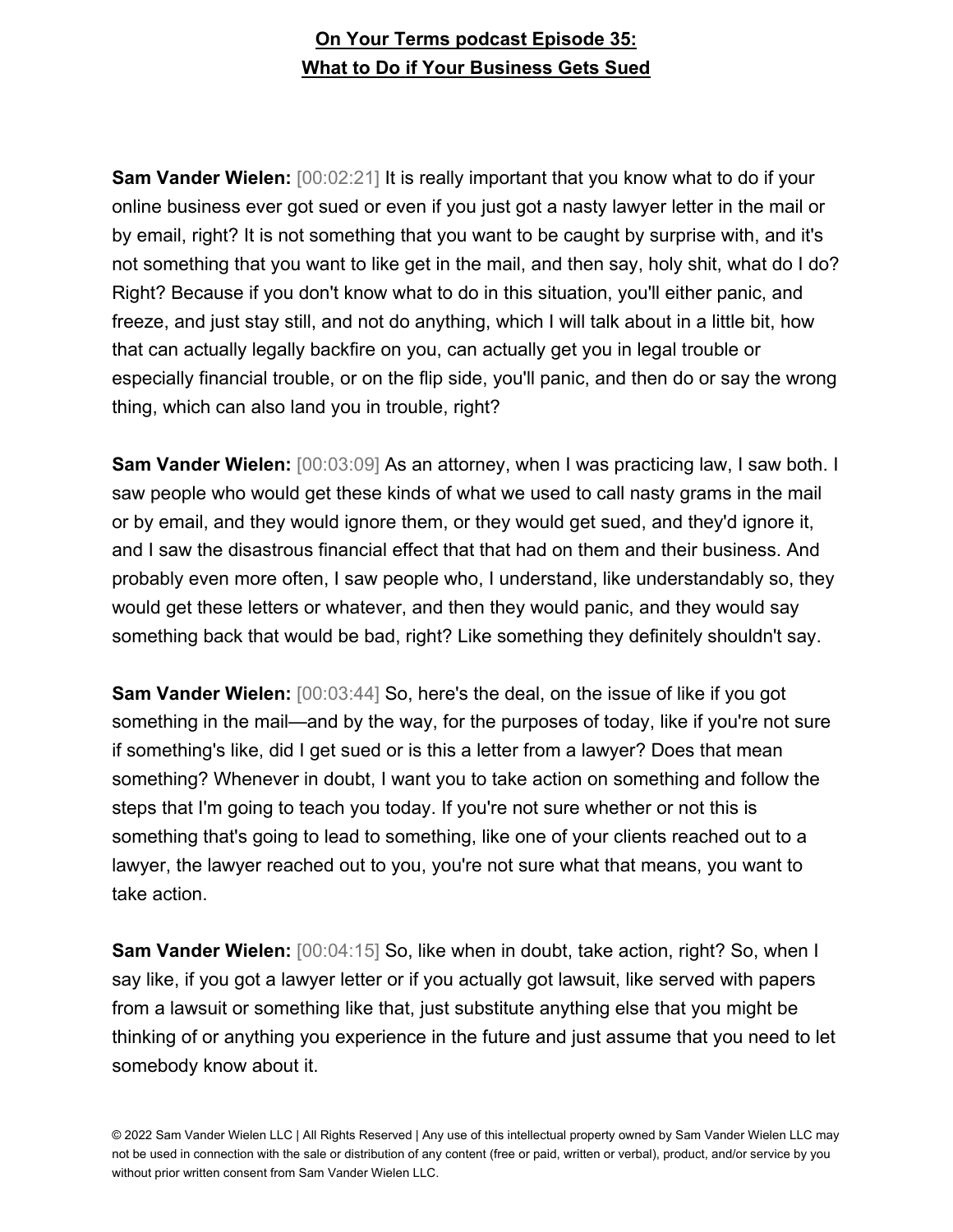**Sam Vander Wielen:** [00:02:21] It is really important that you know what to do if your online business ever got sued or even if you just got a nasty lawyer letter in the mail or by email, right? It is not something that you want to be caught by surprise with, and it's not something that you want to like get in the mail, and then say, holy shit, what do I do? Right? Because if you don't know what to do in this situation, you'll either panic, and freeze, and just stay still, and not do anything, which I will talk about in a little bit, how that can actually legally backfire on you, can actually get you in legal trouble or especially financial trouble, or on the flip side, you'll panic, and then do or say the wrong thing, which can also land you in trouble, right?

**Sam Vander Wielen:** [00:03:09] As an attorney, when I was practicing law, I saw both. I saw people who would get these kinds of what we used to call nasty grams in the mail or by email, and they would ignore them, or they would get sued, and they'd ignore it, and I saw the disastrous financial effect that that had on them and their business. And probably even more often, I saw people who, I understand, like understandably so, they would get these letters or whatever, and then they would panic, and they would say something back that would be bad, right? Like something they definitely shouldn't say.

**Sam Vander Wielen:** [00:03:44] So, here's the deal, on the issue of like if you got something in the mail—and by the way, for the purposes of today, like if you're not sure if something's like, did I get sued or is this a letter from a lawyer? Does that mean something? Whenever in doubt, I want you to take action on something and follow the steps that I'm going to teach you today. If you're not sure whether or not this is something that's going to lead to something, like one of your clients reached out to a lawyer, the lawyer reached out to you, you're not sure what that means, you want to take action.

**Sam Vander Wielen:** [00:04:15] So, like when in doubt, take action, right? So, when I say like, if you got a lawyer letter or if you actually got lawsuit, like served with papers from a lawsuit or something like that, just substitute anything else that you might be thinking of or anything you experience in the future and just assume that you need to let somebody know about it.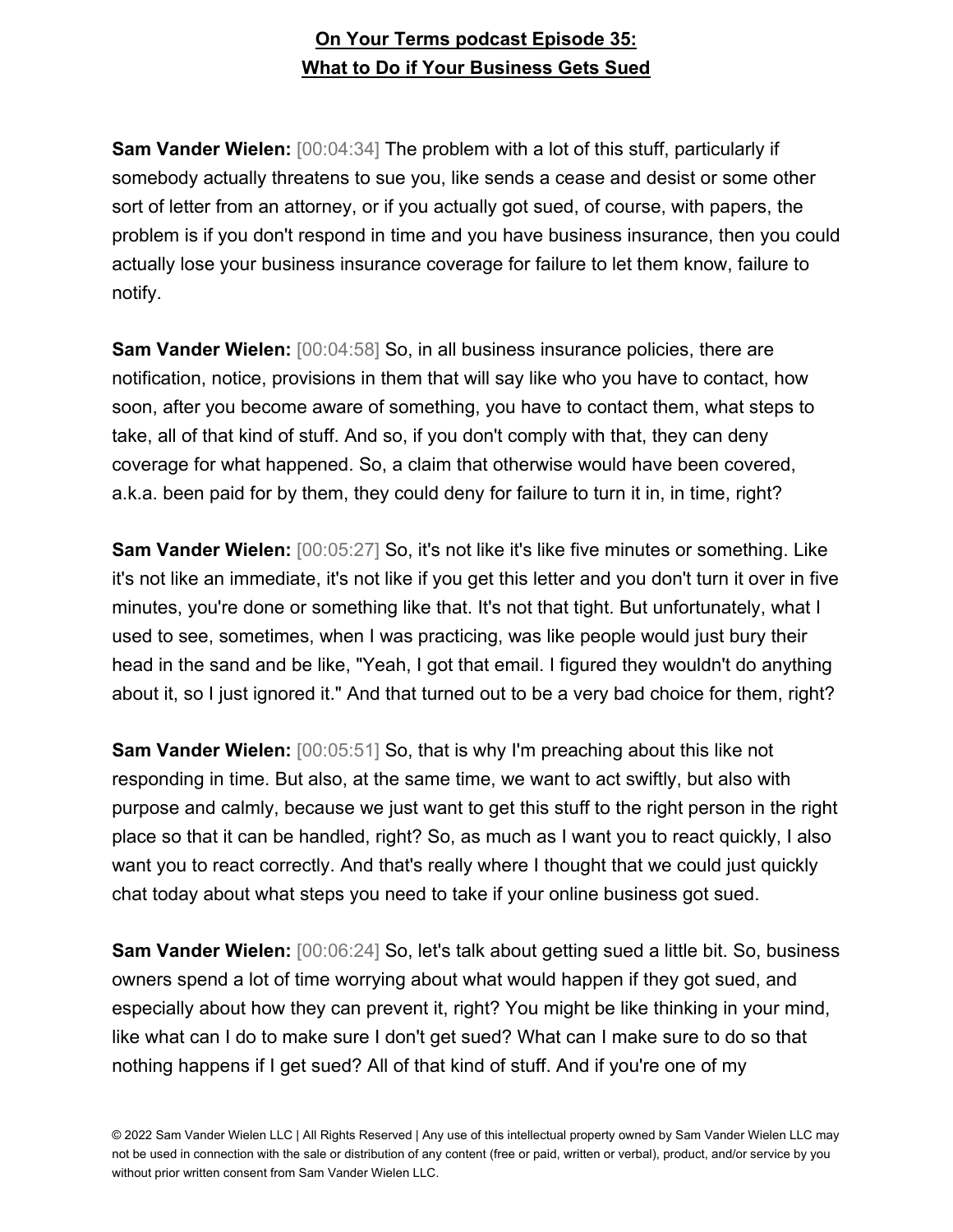**Sam Vander Wielen:** [00:04:34] The problem with a lot of this stuff, particularly if somebody actually threatens to sue you, like sends a cease and desist or some other sort of letter from an attorney, or if you actually got sued, of course, with papers, the problem is if you don't respond in time and you have business insurance, then you could actually lose your business insurance coverage for failure to let them know, failure to notify.

**Sam Vander Wielen:** [00:04:58] So, in all business insurance policies, there are notification, notice, provisions in them that will say like who you have to contact, how soon, after you become aware of something, you have to contact them, what steps to take, all of that kind of stuff. And so, if you don't comply with that, they can deny coverage for what happened. So, a claim that otherwise would have been covered, a.k.a. been paid for by them, they could deny for failure to turn it in, in time, right?

**Sam Vander Wielen:** [00:05:27] So, it's not like it's like five minutes or something. Like it's not like an immediate, it's not like if you get this letter and you don't turn it over in five minutes, you're done or something like that. It's not that tight. But unfortunately, what I used to see, sometimes, when I was practicing, was like people would just bury their head in the sand and be like, "Yeah, I got that email. I figured they wouldn't do anything about it, so I just ignored it." And that turned out to be a very bad choice for them, right?

**Sam Vander Wielen:** [00:05:51] So, that is why I'm preaching about this like not responding in time. But also, at the same time, we want to act swiftly, but also with purpose and calmly, because we just want to get this stuff to the right person in the right place so that it can be handled, right? So, as much as I want you to react quickly, I also want you to react correctly. And that's really where I thought that we could just quickly chat today about what steps you need to take if your online business got sued.

**Sam Vander Wielen:** [00:06:24] So, let's talk about getting sued a little bit. So, business owners spend a lot of time worrying about what would happen if they got sued, and especially about how they can prevent it, right? You might be like thinking in your mind, like what can I do to make sure I don't get sued? What can I make sure to do so that nothing happens if I get sued? All of that kind of stuff. And if you're one of my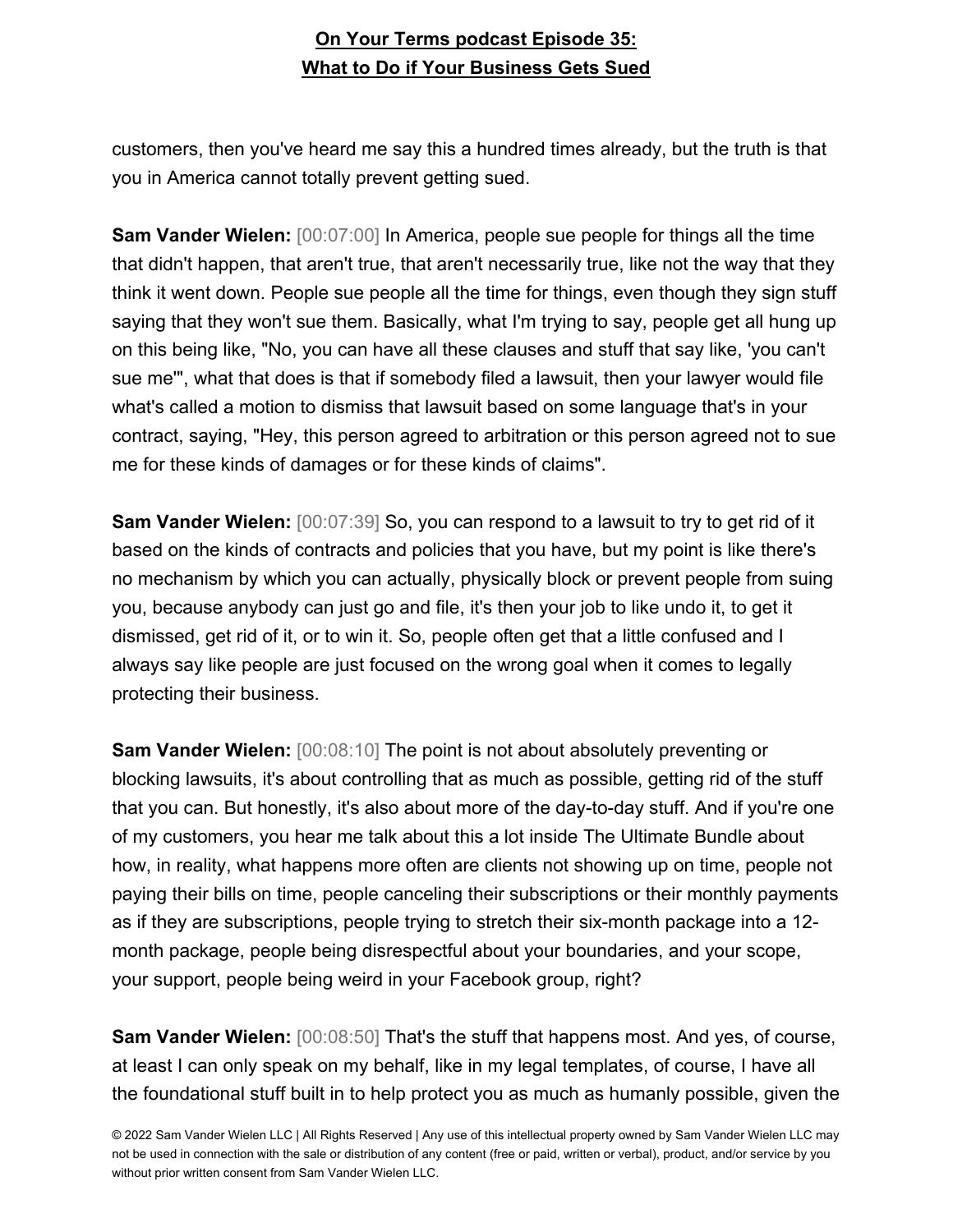customers, then you've heard me say this a hundred times already, but the truth is that you in America cannot totally prevent getting sued.

**Sam Vander Wielen:** [00:07:00] In America, people sue people for things all the time that didn't happen, that aren't true, that aren't necessarily true, like not the way that they think it went down. People sue people all the time for things, even though they sign stuff saying that they won't sue them. Basically, what I'm trying to say, people get all hung up on this being like, "No, you can have all these clauses and stuff that say like, 'you can't sue me'", what that does is that if somebody filed a lawsuit, then your lawyer would file what's called a motion to dismiss that lawsuit based on some language that's in your contract, saying, "Hey, this person agreed to arbitration or this person agreed not to sue me for these kinds of damages or for these kinds of claims".

**Sam Vander Wielen:** [00:07:39] So, you can respond to a lawsuit to try to get rid of it based on the kinds of contracts and policies that you have, but my point is like there's no mechanism by which you can actually, physically block or prevent people from suing you, because anybody can just go and file, it's then your job to like undo it, to get it dismissed, get rid of it, or to win it. So, people often get that a little confused and I always say like people are just focused on the wrong goal when it comes to legally protecting their business.

**Sam Vander Wielen:** [00:08:10] The point is not about absolutely preventing or blocking lawsuits, it's about controlling that as much as possible, getting rid of the stuff that you can. But honestly, it's also about more of the day-to-day stuff. And if you're one of my customers, you hear me talk about this a lot inside The Ultimate Bundle about how, in reality, what happens more often are clients not showing up on time, people not paying their bills on time, people canceling their subscriptions or their monthly payments as if they are subscriptions, people trying to stretch their six-month package into a 12 month package, people being disrespectful about your boundaries, and your scope, your support, people being weird in your Facebook group, right?

**Sam Vander Wielen:** [00:08:50] That's the stuff that happens most. And yes, of course, at least I can only speak on my behalf, like in my legal templates, of course, I have all the foundational stuff built in to help protect you as much as humanly possible, given the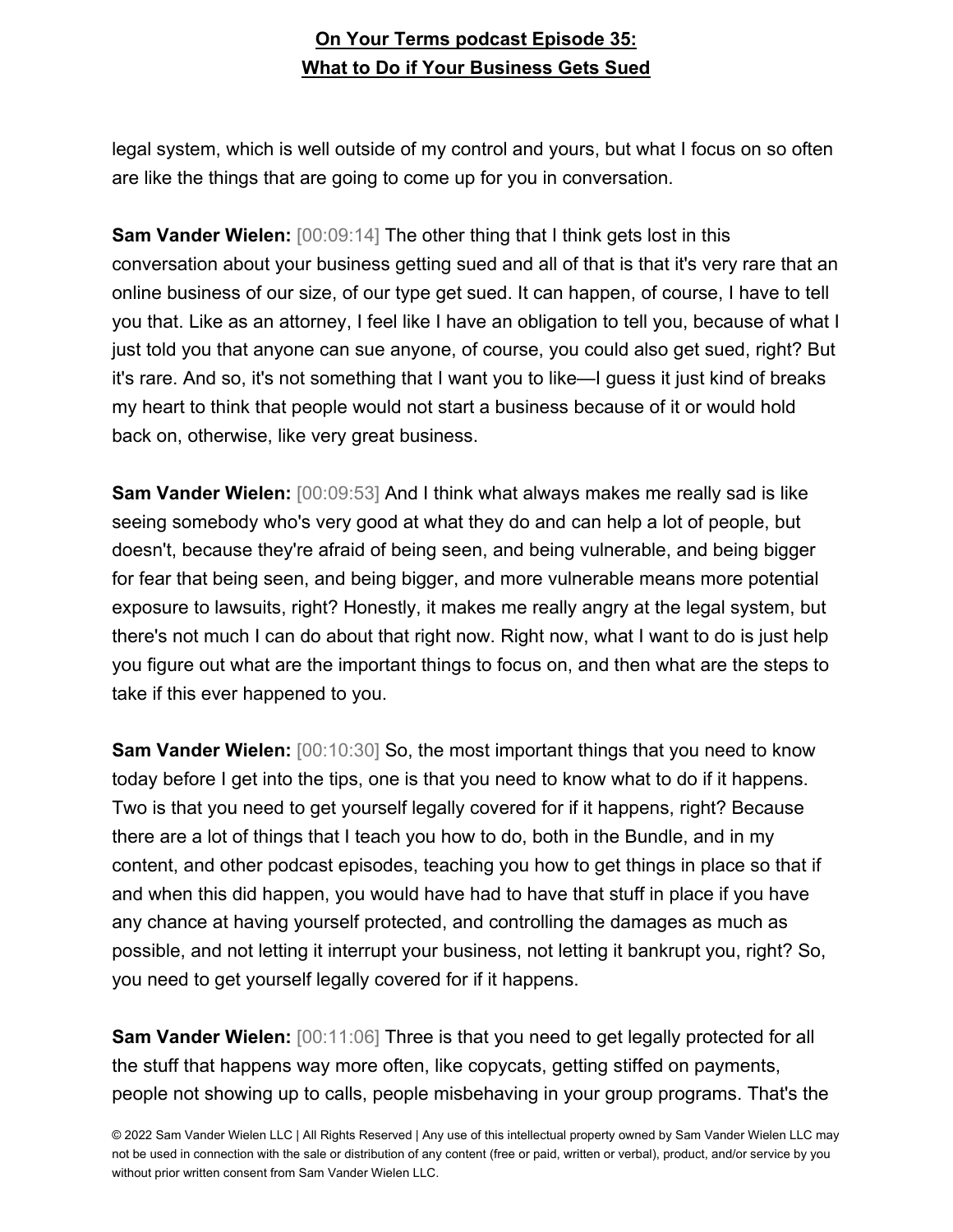legal system, which is well outside of my control and yours, but what I focus on so often are like the things that are going to come up for you in conversation.

**Sam Vander Wielen:** [00:09:14] The other thing that I think gets lost in this conversation about your business getting sued and all of that is that it's very rare that an online business of our size, of our type get sued. It can happen, of course, I have to tell you that. Like as an attorney, I feel like I have an obligation to tell you, because of what I just told you that anyone can sue anyone, of course, you could also get sued, right? But it's rare. And so, it's not something that I want you to like—I guess it just kind of breaks my heart to think that people would not start a business because of it or would hold back on, otherwise, like very great business.

**Sam Vander Wielen:** [00:09:53] And I think what always makes me really sad is like seeing somebody who's very good at what they do and can help a lot of people, but doesn't, because they're afraid of being seen, and being vulnerable, and being bigger for fear that being seen, and being bigger, and more vulnerable means more potential exposure to lawsuits, right? Honestly, it makes me really angry at the legal system, but there's not much I can do about that right now. Right now, what I want to do is just help you figure out what are the important things to focus on, and then what are the steps to take if this ever happened to you.

**Sam Vander Wielen:** [00:10:30] So, the most important things that you need to know today before I get into the tips, one is that you need to know what to do if it happens. Two is that you need to get yourself legally covered for if it happens, right? Because there are a lot of things that I teach you how to do, both in the Bundle, and in my content, and other podcast episodes, teaching you how to get things in place so that if and when this did happen, you would have had to have that stuff in place if you have any chance at having yourself protected, and controlling the damages as much as possible, and not letting it interrupt your business, not letting it bankrupt you, right? So, you need to get yourself legally covered for if it happens.

**Sam Vander Wielen:** [00:11:06] Three is that you need to get legally protected for all the stuff that happens way more often, like copycats, getting stiffed on payments, people not showing up to calls, people misbehaving in your group programs. That's the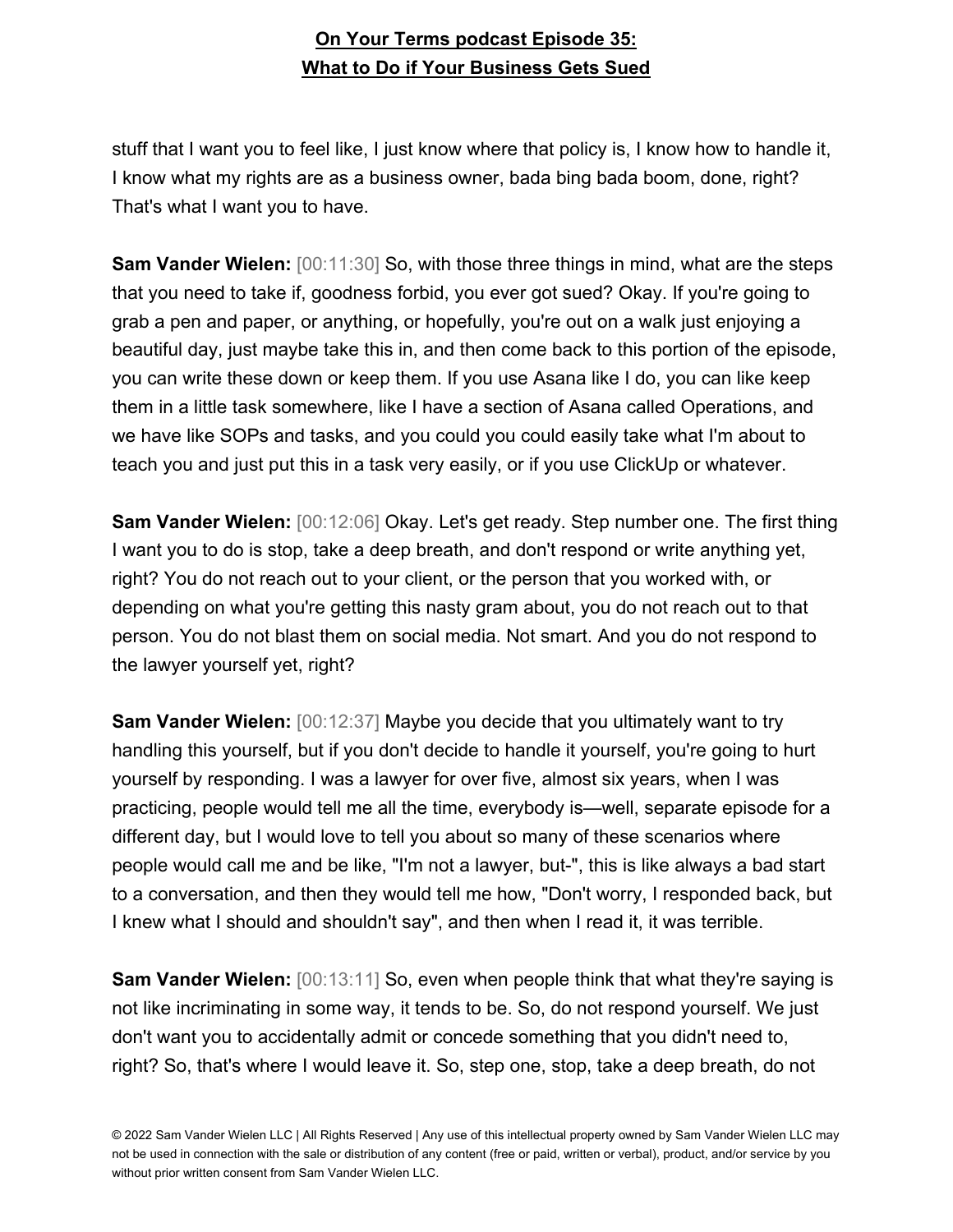stuff that I want you to feel like, I just know where that policy is, I know how to handle it, I know what my rights are as a business owner, bada bing bada boom, done, right? That's what I want you to have.

**Sam Vander Wielen:** [00:11:30] So, with those three things in mind, what are the steps that you need to take if, goodness forbid, you ever got sued? Okay. If you're going to grab a pen and paper, or anything, or hopefully, you're out on a walk just enjoying a beautiful day, just maybe take this in, and then come back to this portion of the episode, you can write these down or keep them. If you use Asana like I do, you can like keep them in a little task somewhere, like I have a section of Asana called Operations, and we have like SOPs and tasks, and you could you could easily take what I'm about to teach you and just put this in a task very easily, or if you use ClickUp or whatever.

**Sam Vander Wielen:** [00:12:06] Okay. Let's get ready. Step number one. The first thing I want you to do is stop, take a deep breath, and don't respond or write anything yet, right? You do not reach out to your client, or the person that you worked with, or depending on what you're getting this nasty gram about, you do not reach out to that person. You do not blast them on social media. Not smart. And you do not respond to the lawyer yourself yet, right?

**Sam Vander Wielen:** [00:12:37] Maybe you decide that you ultimately want to try handling this yourself, but if you don't decide to handle it yourself, you're going to hurt yourself by responding. I was a lawyer for over five, almost six years, when I was practicing, people would tell me all the time, everybody is—well, separate episode for a different day, but I would love to tell you about so many of these scenarios where people would call me and be like, "I'm not a lawyer, but-", this is like always a bad start to a conversation, and then they would tell me how, "Don't worry, I responded back, but I knew what I should and shouldn't say", and then when I read it, it was terrible.

**Sam Vander Wielen:** [00:13:11] So, even when people think that what they're saying is not like incriminating in some way, it tends to be. So, do not respond yourself. We just don't want you to accidentally admit or concede something that you didn't need to, right? So, that's where I would leave it. So, step one, stop, take a deep breath, do not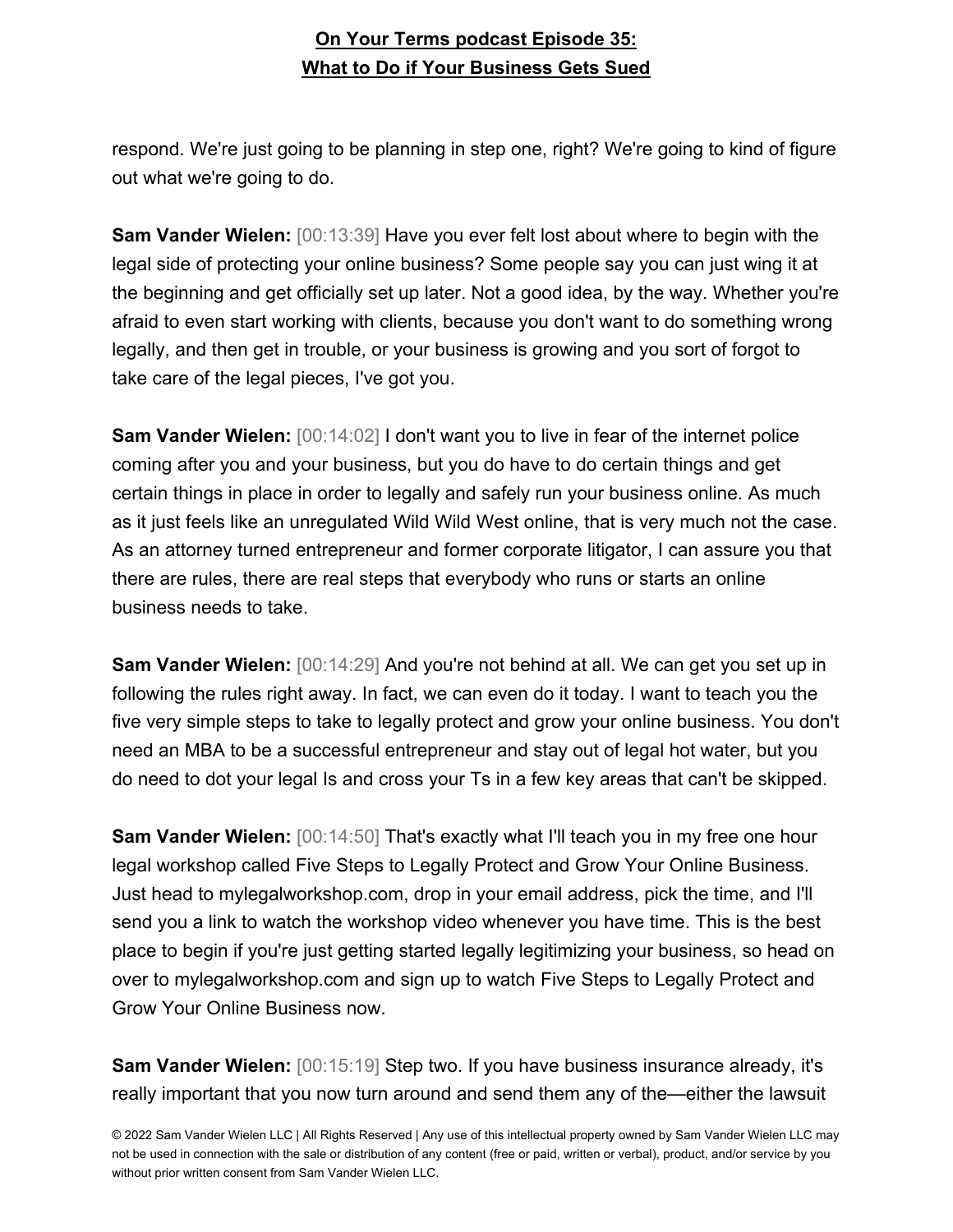respond. We're just going to be planning in step one, right? We're going to kind of figure out what we're going to do.

**Sam Vander Wielen:** [00:13:39] Have you ever felt lost about where to begin with the legal side of protecting your online business? Some people say you can just wing it at the beginning and get officially set up later. Not a good idea, by the way. Whether you're afraid to even start working with clients, because you don't want to do something wrong legally, and then get in trouble, or your business is growing and you sort of forgot to take care of the legal pieces, I've got you.

**Sam Vander Wielen:** [00:14:02] I don't want you to live in fear of the internet police coming after you and your business, but you do have to do certain things and get certain things in place in order to legally and safely run your business online. As much as it just feels like an unregulated Wild Wild West online, that is very much not the case. As an attorney turned entrepreneur and former corporate litigator, I can assure you that there are rules, there are real steps that everybody who runs or starts an online business needs to take.

**Sam Vander Wielen:** [00:14:29] And you're not behind at all. We can get you set up in following the rules right away. In fact, we can even do it today. I want to teach you the five very simple steps to take to legally protect and grow your online business. You don't need an MBA to be a successful entrepreneur and stay out of legal hot water, but you do need to dot your legal Is and cross your Ts in a few key areas that can't be skipped.

**Sam Vander Wielen:** [00:14:50] That's exactly what I'll teach you in my free one hour legal workshop called Five Steps to Legally Protect and Grow Your Online Business. Just head to mylegalworkshop.com, drop in your email address, pick the time, and I'll send you a link to watch the workshop video whenever you have time. This is the best place to begin if you're just getting started legally legitimizing your business, so head on over to mylegalworkshop.com and sign up to watch Five Steps to Legally Protect and Grow Your Online Business now.

**Sam Vander Wielen:** [00:15:19] Step two. If you have business insurance already, it's really important that you now turn around and send them any of the—either the lawsuit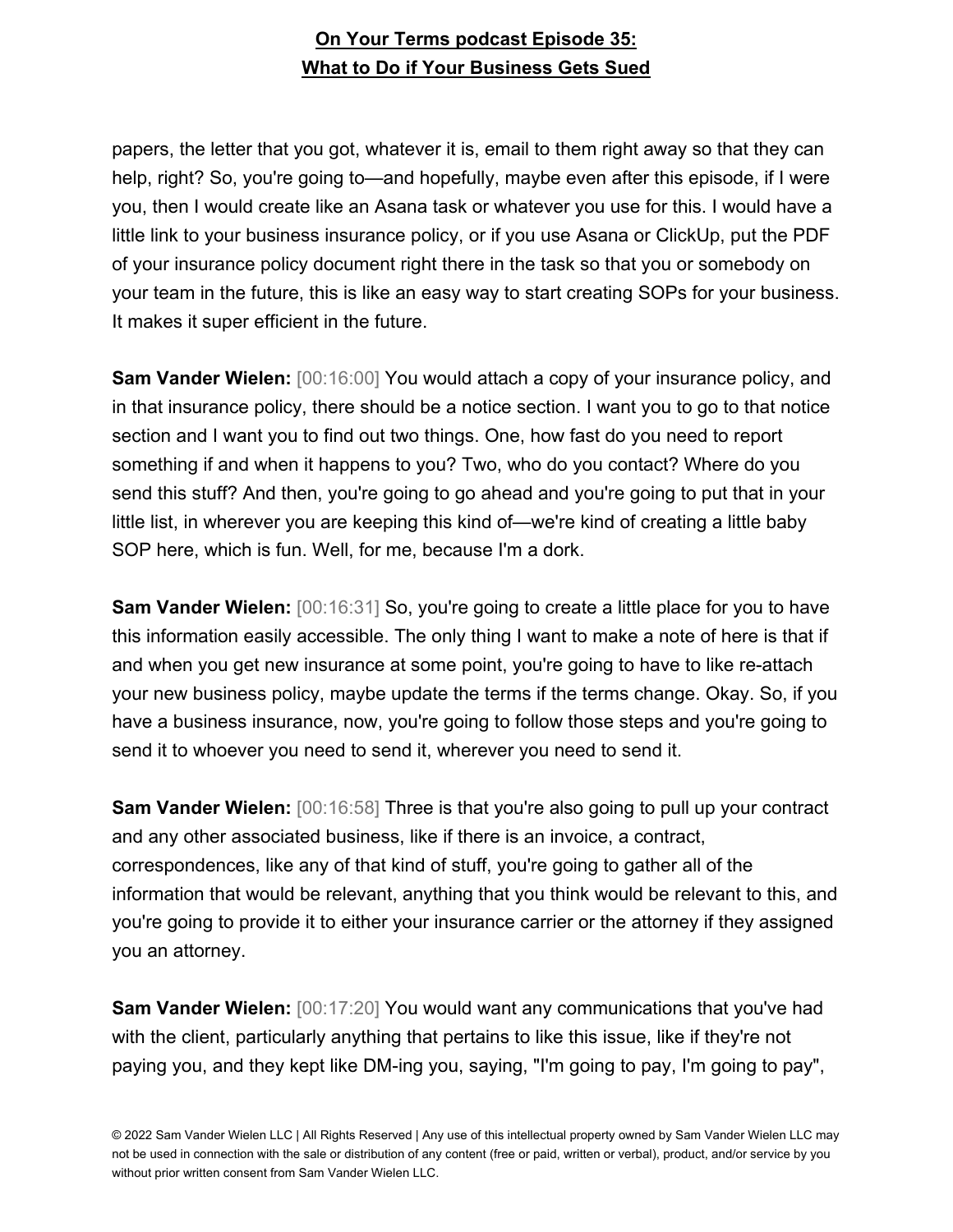papers, the letter that you got, whatever it is, email to them right away so that they can help, right? So, you're going to—and hopefully, maybe even after this episode, if I were you, then I would create like an Asana task or whatever you use for this. I would have a little link to your business insurance policy, or if you use Asana or ClickUp, put the PDF of your insurance policy document right there in the task so that you or somebody on your team in the future, this is like an easy way to start creating SOPs for your business. It makes it super efficient in the future.

**Sam Vander Wielen:** [00:16:00] You would attach a copy of your insurance policy, and in that insurance policy, there should be a notice section. I want you to go to that notice section and I want you to find out two things. One, how fast do you need to report something if and when it happens to you? Two, who do you contact? Where do you send this stuff? And then, you're going to go ahead and you're going to put that in your little list, in wherever you are keeping this kind of—we're kind of creating a little baby SOP here, which is fun. Well, for me, because I'm a dork.

**Sam Vander Wielen:** [00:16:31] So, you're going to create a little place for you to have this information easily accessible. The only thing I want to make a note of here is that if and when you get new insurance at some point, you're going to have to like re-attach your new business policy, maybe update the terms if the terms change. Okay. So, if you have a business insurance, now, you're going to follow those steps and you're going to send it to whoever you need to send it, wherever you need to send it.

**Sam Vander Wielen:** [00:16:58] Three is that you're also going to pull up your contract and any other associated business, like if there is an invoice, a contract, correspondences, like any of that kind of stuff, you're going to gather all of the information that would be relevant, anything that you think would be relevant to this, and you're going to provide it to either your insurance carrier or the attorney if they assigned you an attorney.

**Sam Vander Wielen:** [00:17:20] You would want any communications that you've had with the client, particularly anything that pertains to like this issue, like if they're not paying you, and they kept like DM-ing you, saying, "I'm going to pay, I'm going to pay",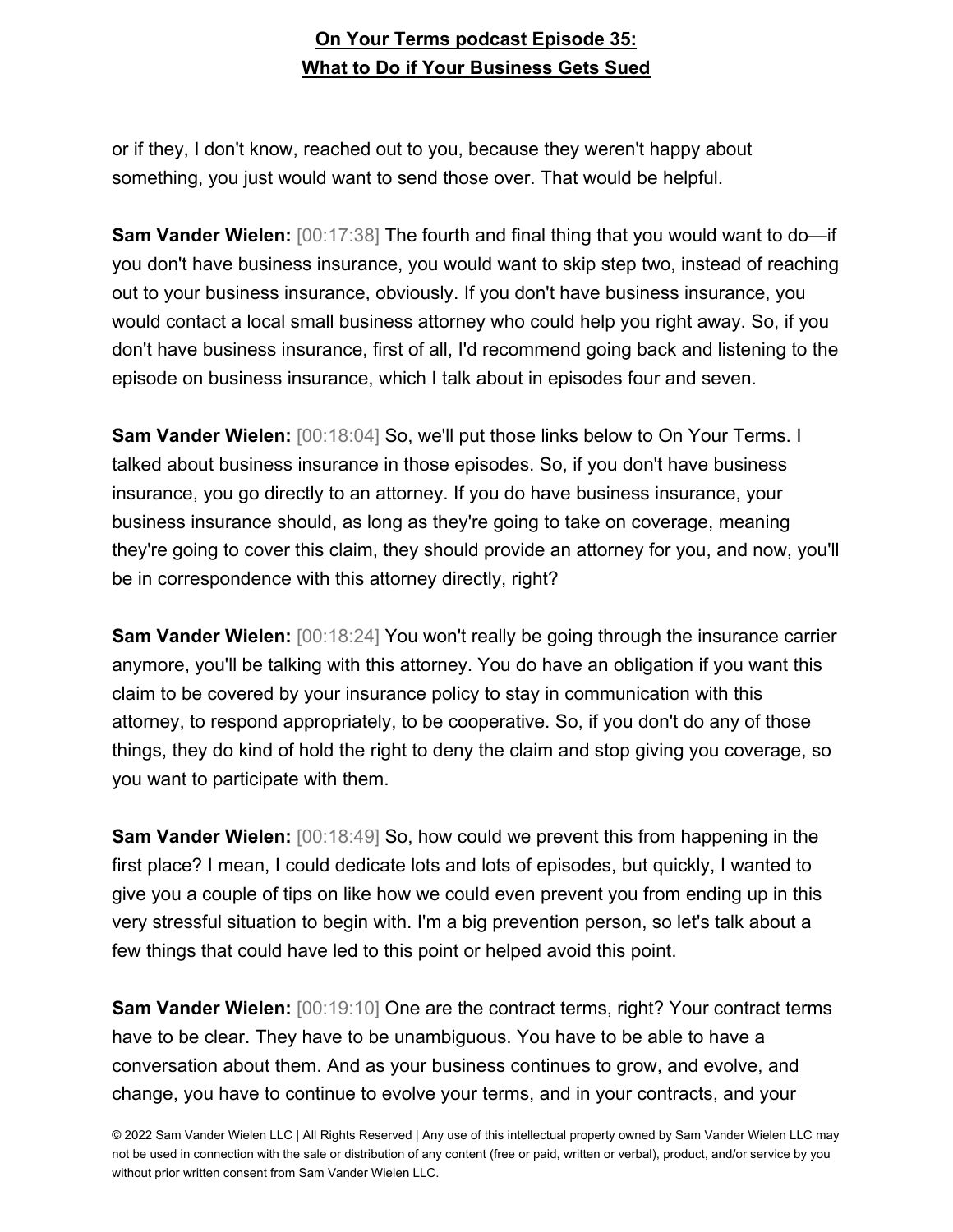or if they, I don't know, reached out to you, because they weren't happy about something, you just would want to send those over. That would be helpful.

**Sam Vander Wielen:** [00:17:38] The fourth and final thing that you would want to do—if you don't have business insurance, you would want to skip step two, instead of reaching out to your business insurance, obviously. If you don't have business insurance, you would contact a local small business attorney who could help you right away. So, if you don't have business insurance, first of all, I'd recommend going back and listening to the episode on business insurance, which I talk about in episodes four and seven.

**Sam Vander Wielen:** [00:18:04] So, we'll put those links below to On Your Terms. I talked about business insurance in those episodes. So, if you don't have business insurance, you go directly to an attorney. If you do have business insurance, your business insurance should, as long as they're going to take on coverage, meaning they're going to cover this claim, they should provide an attorney for you, and now, you'll be in correspondence with this attorney directly, right?

**Sam Vander Wielen:** [00:18:24] You won't really be going through the insurance carrier anymore, you'll be talking with this attorney. You do have an obligation if you want this claim to be covered by your insurance policy to stay in communication with this attorney, to respond appropriately, to be cooperative. So, if you don't do any of those things, they do kind of hold the right to deny the claim and stop giving you coverage, so you want to participate with them.

**Sam Vander Wielen:** [00:18:49] So, how could we prevent this from happening in the first place? I mean, I could dedicate lots and lots of episodes, but quickly, I wanted to give you a couple of tips on like how we could even prevent you from ending up in this very stressful situation to begin with. I'm a big prevention person, so let's talk about a few things that could have led to this point or helped avoid this point.

**Sam Vander Wielen:** [00:19:10] One are the contract terms, right? Your contract terms have to be clear. They have to be unambiguous. You have to be able to have a conversation about them. And as your business continues to grow, and evolve, and change, you have to continue to evolve your terms, and in your contracts, and your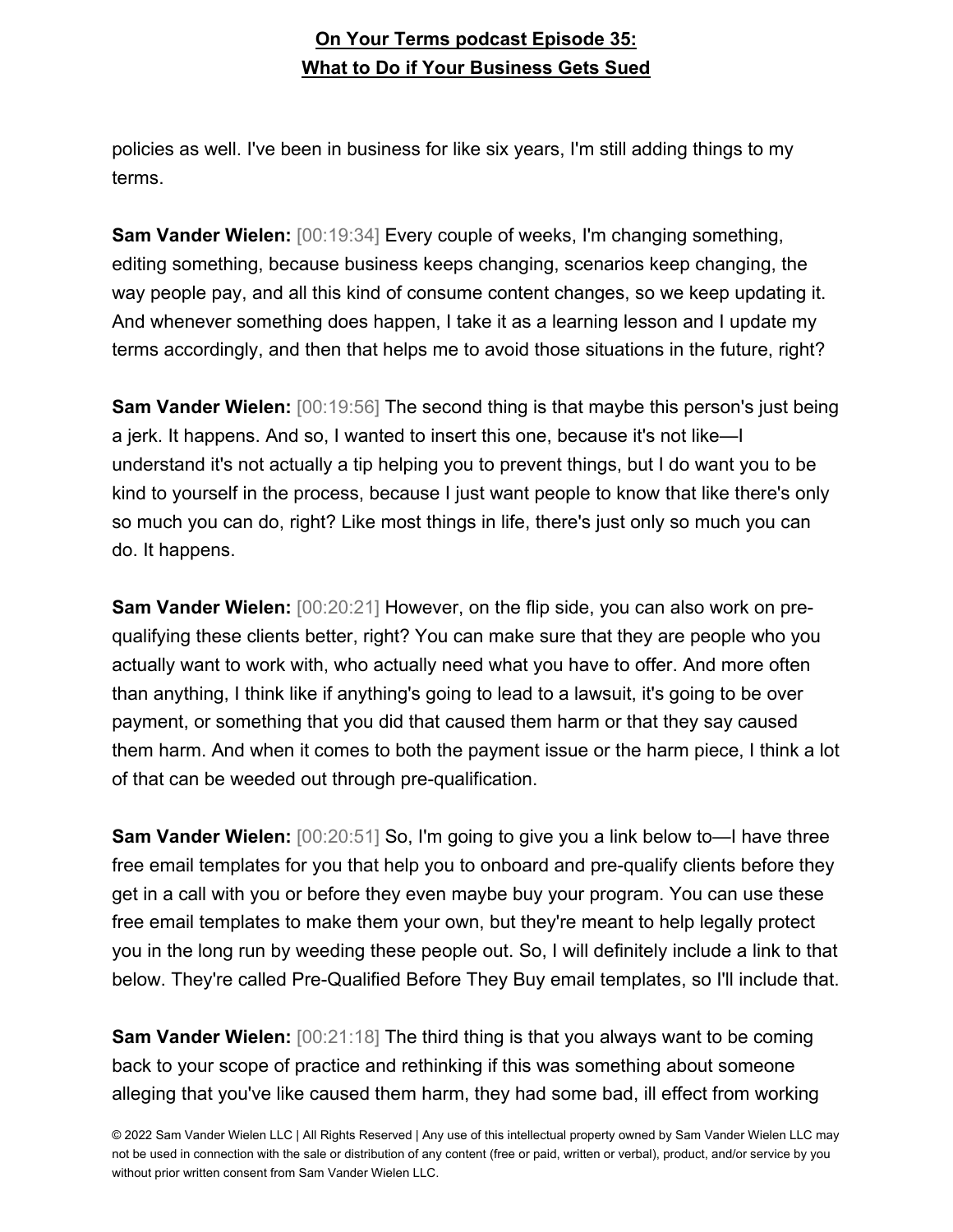policies as well. I've been in business for like six years, I'm still adding things to my terms.

**Sam Vander Wielen:** [00:19:34] Every couple of weeks, I'm changing something, editing something, because business keeps changing, scenarios keep changing, the way people pay, and all this kind of consume content changes, so we keep updating it. And whenever something does happen, I take it as a learning lesson and I update my terms accordingly, and then that helps me to avoid those situations in the future, right?

**Sam Vander Wielen:** [00:19:56] The second thing is that maybe this person's just being a jerk. It happens. And so, I wanted to insert this one, because it's not like—I understand it's not actually a tip helping you to prevent things, but I do want you to be kind to yourself in the process, because I just want people to know that like there's only so much you can do, right? Like most things in life, there's just only so much you can do. It happens.

**Sam Vander Wielen:** [00:20:21] However, on the flip side, you can also work on prequalifying these clients better, right? You can make sure that they are people who you actually want to work with, who actually need what you have to offer. And more often than anything, I think like if anything's going to lead to a lawsuit, it's going to be over payment, or something that you did that caused them harm or that they say caused them harm. And when it comes to both the payment issue or the harm piece, I think a lot of that can be weeded out through pre-qualification.

**Sam Vander Wielen:** [00:20:51] So, I'm going to give you a link below to—I have three free email templates for you that help you to onboard and pre-qualify clients before they get in a call with you or before they even maybe buy your program. You can use these free email templates to make them your own, but they're meant to help legally protect you in the long run by weeding these people out. So, I will definitely include a link to that below. They're called Pre-Qualified Before They Buy email templates, so I'll include that.

**Sam Vander Wielen:** [00:21:18] The third thing is that you always want to be coming back to your scope of practice and rethinking if this was something about someone alleging that you've like caused them harm, they had some bad, ill effect from working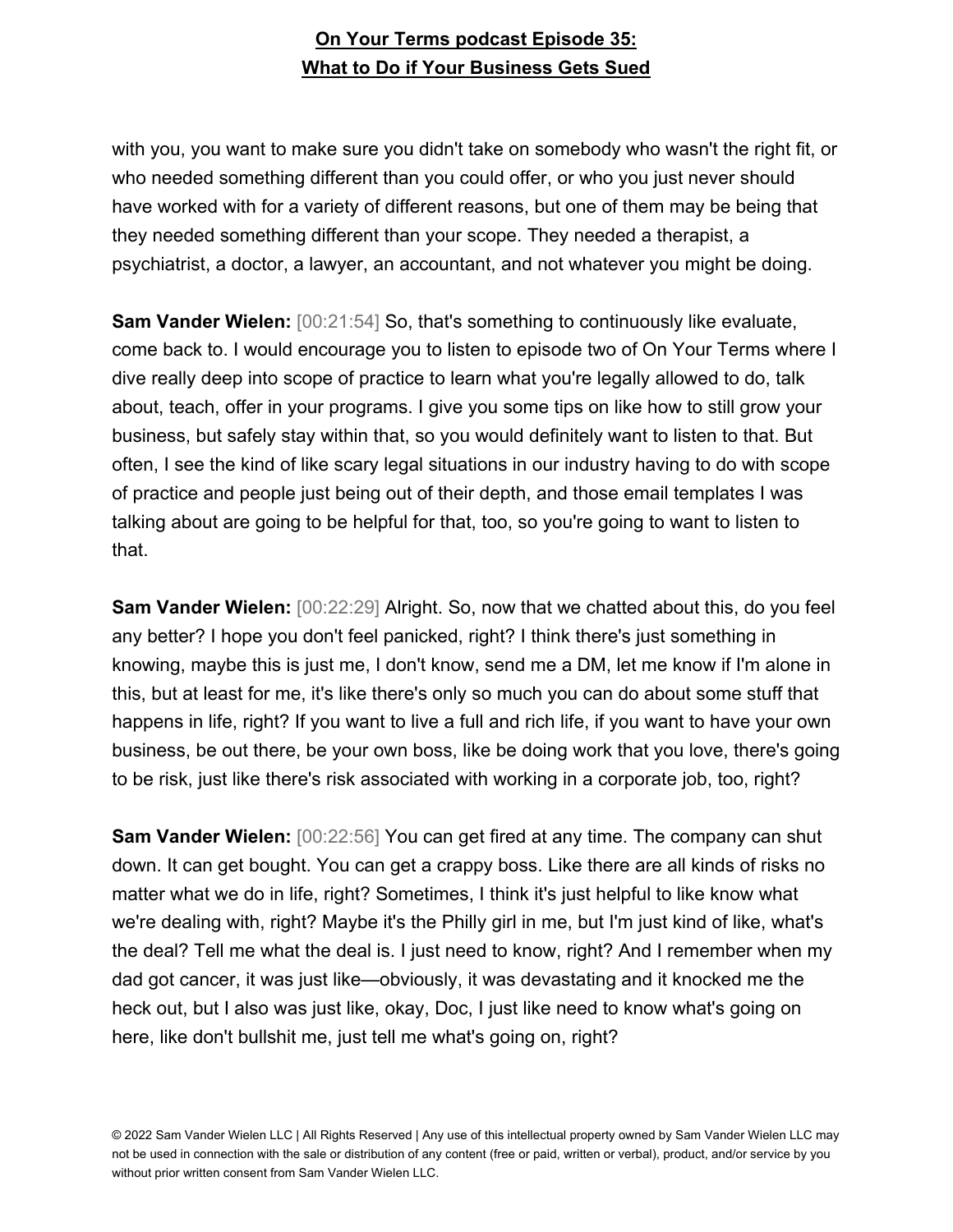with you, you want to make sure you didn't take on somebody who wasn't the right fit, or who needed something different than you could offer, or who you just never should have worked with for a variety of different reasons, but one of them may be being that they needed something different than your scope. They needed a therapist, a psychiatrist, a doctor, a lawyer, an accountant, and not whatever you might be doing.

**Sam Vander Wielen:** [00:21:54] So, that's something to continuously like evaluate, come back to. I would encourage you to listen to episode two of On Your Terms where I dive really deep into scope of practice to learn what you're legally allowed to do, talk about, teach, offer in your programs. I give you some tips on like how to still grow your business, but safely stay within that, so you would definitely want to listen to that. But often, I see the kind of like scary legal situations in our industry having to do with scope of practice and people just being out of their depth, and those email templates I was talking about are going to be helpful for that, too, so you're going to want to listen to that.

**Sam Vander Wielen:** [00:22:29] Alright. So, now that we chatted about this, do you feel any better? I hope you don't feel panicked, right? I think there's just something in knowing, maybe this is just me, I don't know, send me a DM, let me know if I'm alone in this, but at least for me, it's like there's only so much you can do about some stuff that happens in life, right? If you want to live a full and rich life, if you want to have your own business, be out there, be your own boss, like be doing work that you love, there's going to be risk, just like there's risk associated with working in a corporate job, too, right?

**Sam Vander Wielen:** [00:22:56] You can get fired at any time. The company can shut down. It can get bought. You can get a crappy boss. Like there are all kinds of risks no matter what we do in life, right? Sometimes, I think it's just helpful to like know what we're dealing with, right? Maybe it's the Philly girl in me, but I'm just kind of like, what's the deal? Tell me what the deal is. I just need to know, right? And I remember when my dad got cancer, it was just like—obviously, it was devastating and it knocked me the heck out, but I also was just like, okay, Doc, I just like need to know what's going on here, like don't bullshit me, just tell me what's going on, right?